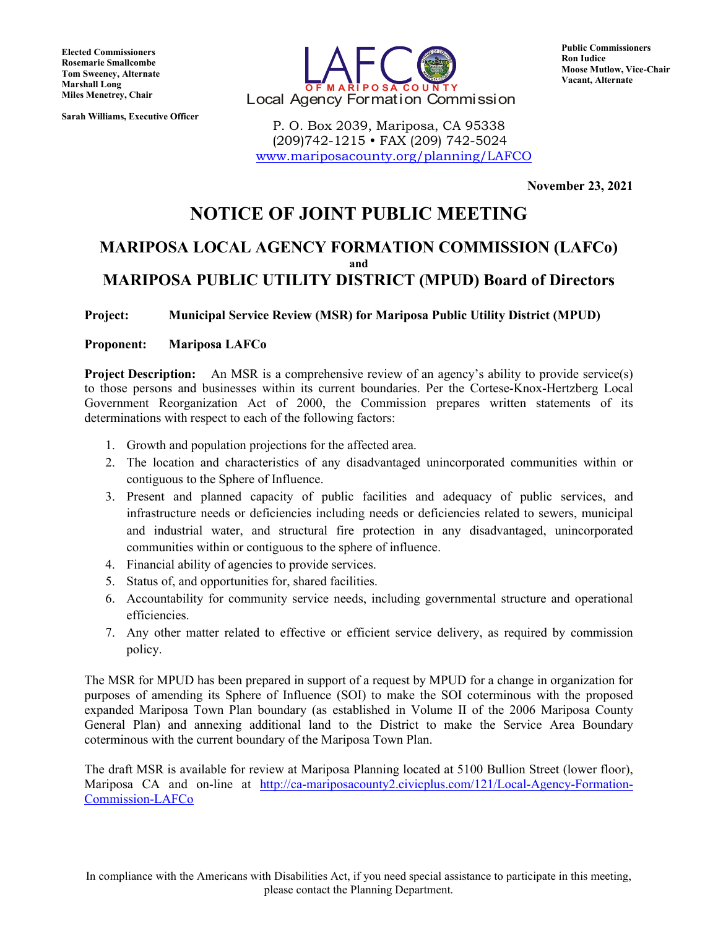**Elected Commissioners Rosemarie Smallcombe Tom Sweeney, Alternate Marshall Long Miles Menetrey, Chair**

**Sarah Williams, Executive Officer**



 P. O. Box 2039, Mariposa, CA 95338 (209)742-1215 • FAX (209) 742-5024 [www.mariposacounty.org/planning/LAFCO](http://www.mariposacounty.org/planning/LAFCO) **Public Commissioners Ron Iudice Moose Mutlow, Vice-Chair Vacant, Alternate**

**November 23, 2021**

# **NOTICE OF JOINT PUBLIC MEETING**

# **MARIPOSA LOCAL AGENCY FORMATION COMMISSION (LAFCo) and MARIPOSA PUBLIC UTILITY DISTRICT (MPUD) Board of Directors**

**Project: Municipal Service Review (MSR) for Mariposa Public Utility District (MPUD)**

**Proponent: Mariposa LAFCo**

**Project Description:** An MSR is a comprehensive review of an agency's ability to provide service(s) to those persons and businesses within its current boundaries. Per the Cortese-Knox-Hertzberg Local Government Reorganization Act of 2000, the Commission prepares written statements of its determinations with respect to each of the following factors:

- 1. Growth and population projections for the affected area.
- 2. The location and characteristics of any disadvantaged unincorporated communities within or contiguous to the Sphere of Influence.
- 3. Present and planned capacity of public facilities and adequacy of public services, and infrastructure needs or deficiencies including needs or deficiencies related to sewers, municipal and industrial water, and structural fire protection in any disadvantaged, unincorporated communities within or contiguous to the sphere of influence.
- 4. Financial ability of agencies to provide services.
- 5. Status of, and opportunities for, shared facilities.
- 6. Accountability for community service needs, including governmental structure and operational efficiencies.
- 7. Any other matter related to effective or efficient service delivery, as required by commission policy.

The MSR for MPUD has been prepared in support of a request by MPUD for a change in organization for purposes of amending its Sphere of Influence (SOI) to make the SOI coterminous with the proposed expanded Mariposa Town Plan boundary (as established in Volume II of the 2006 Mariposa County General Plan) and annexing additional land to the District to make the Service Area Boundary coterminous with the current boundary of the Mariposa Town Plan.

The draft MSR is available for review at Mariposa Planning located at 5100 Bullion Street (lower floor), Mariposa CA and on-line at [http://ca-mariposacounty2.civicplus.com/121/Local-Agency-Formation-](http://ca-mariposacounty2.civicplus.com/121/Local-Agency-Formation-Commission-LAFCo)[Commission-LAFCo](http://ca-mariposacounty2.civicplus.com/121/Local-Agency-Formation-Commission-LAFCo)